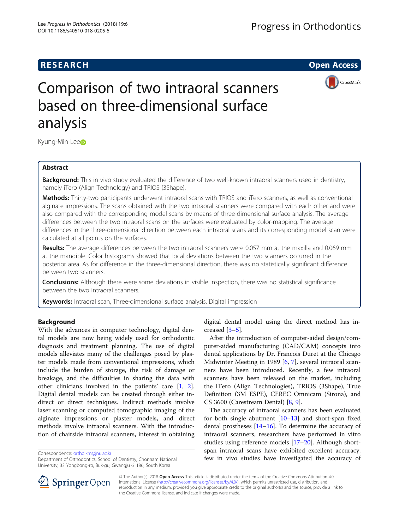**RESEARCH CHE Open Access** 

CrossMark



Kyung-Min Lee

# Abstract

Background: This in vivo study evaluated the difference of two well-known intraoral scanners used in dentistry, namely iTero (Align Technology) and TRIOS (3Shape).

Methods: Thirty-two participants underwent intraoral scans with TRIOS and iTero scanners, as well as conventional alginate impressions. The scans obtained with the two intraoral scanners were compared with each other and were also compared with the corresponding model scans by means of three-dimensional surface analysis. The average differences between the two intraoral scans on the surfaces were evaluated by color-mapping. The average differences in the three-dimensional direction between each intraoral scans and its corresponding model scan were calculated at all points on the surfaces.

Results: The average differences between the two intraoral scanners were 0.057 mm at the maxilla and 0.069 mm at the mandible. Color histograms showed that local deviations between the two scanners occurred in the posterior area. As for difference in the three-dimensional direction, there was no statistically significant difference between two scanners.

**Conclusions:** Although there were some deviations in visible inspection, there was no statistical significance between the two intraoral scanners.

Keywords: Intraoral scan, Three-dimensional surface analysis, Digital impression

# Background

With the advances in computer technology, digital dental models are now being widely used for orthodontic diagnosis and treatment planning. The use of digital models alleviates many of the challenges posed by plaster models made from conventional impressions, which include the burden of storage, the risk of damage or breakage, and the difficulties in sharing the data with other clinicians involved in the patients' care [\[1](#page-5-0), [2](#page-5-0)]. Digital dental models can be created through either indirect or direct techniques. Indirect methods involve laser scanning or computed tomographic imaging of the alginate impressions or plaster models, and direct methods involve intraoral scanners. With the introduction of chairside intraoral scanners, interest in obtaining

Department of Orthodontics, School of Dentistry, Chonnam National University, 33 Yongbong-ro, Buk-gu, Gwangju 61186, South Korea

digital dental model using the direct method has increased [\[3](#page-5-0)–[5\]](#page-5-0).

After the introduction of computer-aided design/computer-aided manufacturing (CAD/CAM) concepts into dental applications by Dr. Francois Duret at the Chicago Midwinter Meeting in 1989 [[6](#page-5-0), [7\]](#page-5-0), several intraoral scanners have been introduced. Recently, a few intraoral scanners have been released on the market, including the iTero (Align Technologies), TRIOS (3Shape), True Definition (3M ESPE), CEREC Omnicam (Sirona), and CS 3600 (Carestream Dental) [\[8](#page-5-0), [9](#page-5-0)].

The accuracy of intraoral scanners has been evaluated for both single abutment  $[10-13]$  $[10-13]$  $[10-13]$  $[10-13]$  $[10-13]$  and short-span fixed dental prostheses  $[14–16]$  $[14–16]$  $[14–16]$ . To determine the accuracy of intraoral scanners, researchers have performed in vitro studies using reference models [\[17](#page-6-0)–[20\]](#page-6-0). Although shortspan intraoral scans have exhibited excellent accuracy, Ferrespondence: [ortholkm@jnu.ac.kr](mailto:ortholkm@jnu.ac.kr)<br>Department of Orthodontics, School of Dentistry, Chonnam National **the invivo studies have investigated the accuracy of** 



© The Author(s). 2018 Open Access This article is distributed under the terms of the Creative Commons Attribution 4.0 International License ([http://creativecommons.org/licenses/by/4.0/\)](http://creativecommons.org/licenses/by/4.0/), which permits unrestricted use, distribution, and reproduction in any medium, provided you give appropriate credit to the original author(s) and the source, provide a link to the Creative Commons license, and indicate if changes were made.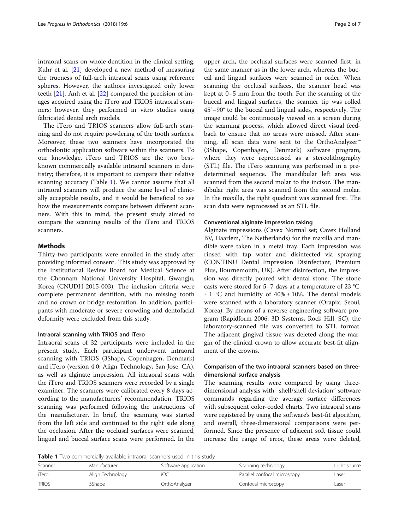intraoral scans on whole dentition in the clinical setting. Kuhr et al. [\[21](#page-6-0)] developed a new method of measuring the trueness of full-arch intraoral scans using reference spheres. However, the authors investigated only lower teeth [\[21](#page-6-0)]. Anh et al. [[22\]](#page-6-0) compared the precision of images acquired using the iTero and TRIOS intraoral scanners; however, they performed in vitro studies using fabricated dental arch models.

The iTero and TRIOS scanners allow full-arch scanning and do not require powdering of the tooth surfaces. Moreover, these two scanners have incorporated the orthodontic application software within the scanners. To our knowledge, iTero and TRIOS are the two bestknown commercially available intraoral scanners in dentistry; therefore, it is important to compare their relative scanning accuracy (Table 1). We cannot assume that all intraoral scanners will produce the same level of clinically acceptable results, and it would be beneficial to see how the measurements compare between different scanners. With this in mind, the present study aimed to compare the scanning results of the iTero and TRIOS scanners.

## **Methods**

Thirty-two participants were enrolled in the study after providing informed consent. This study was approved by the Institutional Review Board for Medical Science at the Chonnam National University Hospital, Gwangju, Korea (CNUDH-2015-003). The inclusion criteria were complete permanent dentition, with no missing tooth and no crown or bridge restoration. In addition, participants with moderate or severe crowding and dentofacial deformity were excluded from this study.

## Intraoral scanning with TRIOS and iTero

Intraoral scans of 32 participants were included in the present study. Each participant underwent intraoral scanning with TRIOS (3Shape, Copenhagen, Denmark) and iTero (version 4.0; Align Technology, San Jose, CA), as well as alginate impression. All intraoral scans with the iTero and TRIOS scanners were recorded by a single examiner. The scanners were calibrated every 8 days according to the manufacturers' recommendation. TRIOS scanning was performed following the instructions of the manufacturer. In brief, the scanning was started from the left side and continued to the right side along the occlusion. After the occlusal surfaces were scanned, lingual and buccal surface scans were performed. In the

upper arch, the occlusal surfaces were scanned first, in the same manner as in the lower arch, whereas the buccal and lingual surfaces were scanned in order. When scanning the occlusal surfaces, the scanner head was kept at 0–5 mm from the tooth. For the scanning of the buccal and lingual surfaces, the scanner tip was rolled 45°–90° to the buccal and lingual sides, respectively. The image could be continuously viewed on a screen during the scanning process, which allowed direct visual feedback to ensure that no areas were missed. After scanning, all scan data were sent to the OrthoAnalyzer™ (3Shape, Copenhagen, Denmark) software program, where they were reprocessed as a stereolithography (STL) file. The iTero scanning was performed in a predetermined sequence. The mandibular left area was scanned from the second molar to the incisor. The mandibular right area was scanned from the second molar. In the maxilla, the right quadrant was scanned first. The scan data were reprocessed as an STL file.

## Conventional alginate impression taking

Alginate impressions (Cavex Normal set; Cavex Holland BV, Haarlem, The Netherlands) for the maxilla and mandible were taken in a metal tray. Each impression was rinsed with tap water and disinfected via spraying (CONTINU Dental Impression Disinfectant, Premium Plus, Bournemouth, UK). After disinfection, the impression was directly poured with dental stone. The stone casts were stored for 5–7 days at a temperature of 23 °C  $\pm$  1 °C and humidity of 40%  $\pm$  10%. The dental models were scanned with a laboratory scanner (Orapix, Seoul, Korea). By means of a reverse engineering software program (Rapidform 2006; 3D Systems, Rock Hill, SC), the laboratory-scanned file was converted to STL format. The adjacent gingival tissue was deleted along the margin of the clinical crown to allow accurate best-fit alignment of the crowns.

## Comparison of the two intraoral scanners based on threedimensional surface analysis

The scanning results were compared by using threedimensional analysis with "shell/shell deviation" software commands regarding the average surface differences with subsequent color-coded charts. Two intraoral scans were registered by using the software's best-fit algorithm, and overall, three-dimensional comparisons were performed. Since the presence of adjacent soft tissue could increase the range of error, these areas were deleted,

Table 1 Two commercially available intraoral scanners used in this study

| Scanner      | Manufacturer     | Software application | Scanning technology          | Light source |
|--------------|------------------|----------------------|------------------------------|--------------|
| iTero        | Align Technology | iOC                  | Parallel confocal microscopy | Laser        |
| <b>TRIOS</b> | 3Shape           | OrthoAnalyzer        | Confocal microscopy          | Laser        |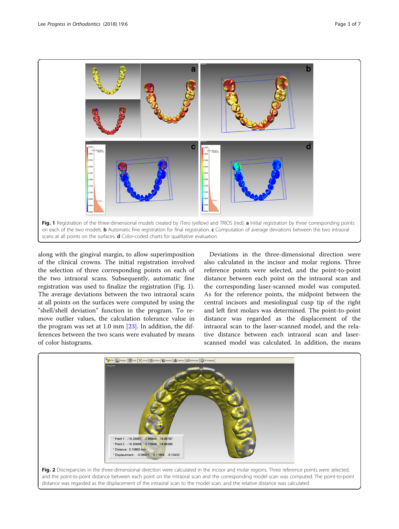<span id="page-2-0"></span>

along with the gingival margin, to allow superimposition of the clinical crowns. The initial registration involved the selection of three corresponding points on each of the two intraoral scans. Subsequently, automatic fine registration was used to finalize the registration (Fig. 1). The average deviations between the two intraoral scans at all points on the surfaces were computed by using the "shell/shell deviation" function in the program. To remove outlier values, the calculation tolerance value in the program was set at 1.0 mm [[23](#page-6-0)]. In addition, the differences between the two scans were evaluated by means of color histograms.

Deviations in the three-dimensional direction were also calculated in the incisor and molar regions. Three reference points were selected, and the point-to-point distance between each point on the intraoral scan and the corresponding laser-scanned model was computed. As for the reference points, the midpoint between the central incisors and mesiolingual cusp tip of the right and left first molars was determined. The point-to-point distance was regarded as the displacement of the intraoral scan to the laser-scanned model, and the relative distance between each intraoral scan and laserscanned model was calculated. In addition, the means

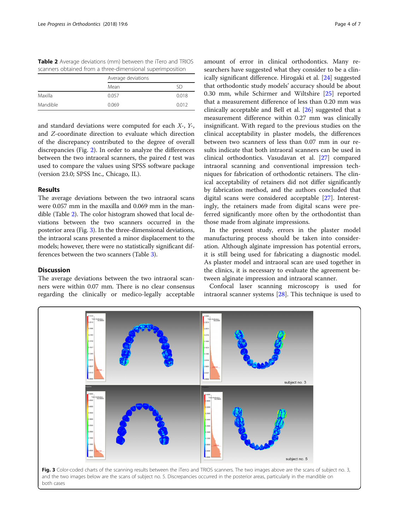Table 2 Average deviations (mm) between the iTero and TRIOS scanners obtained from a three-dimensional superimposition

|          | Average deviations |       |
|----------|--------------------|-------|
|          | Mean               | SD    |
| Maxilla  | 0.057              | 0.018 |
| Mandible | 0.069              | 0.012 |

and standard deviations were computed for each X-, Y-, and Z-coordinate direction to evaluate which direction of the discrepancy contributed to the degree of overall discrepancies (Fig. [2\)](#page-2-0). In order to analyze the differences between the two intraoral scanners, the paired  $t$  test was used to compare the values using SPSS software package (version 23.0; SPSS Inc., Chicago, IL).

## Results

The average deviations between the two intraoral scans were 0.057 mm in the maxilla and 0.069 mm in the mandible (Table 2). The color histogram showed that local deviations between the two scanners occurred in the posterior area (Fig. 3). In the three-dimensional deviations, the intraoral scans presented a minor displacement to the models; however, there were no statistically significant differences between the two scanners (Table [3\)](#page-4-0).

## **Discussion**

The average deviations between the two intraoral scanners were within 0.07 mm. There is no clear consensus regarding the clinically or medico-legally acceptable

amount of error in clinical orthodontics. Many researchers have suggested what they consider to be a clinically significant difference. Hirogaki et al. [\[24\]](#page-6-0) suggested that orthodontic study models' accuracy should be about 0.30 mm, while Schirmer and Wiltshire [[25](#page-6-0)] reported that a measurement difference of less than 0.20 mm was clinically acceptable and Bell et al. [[26\]](#page-6-0) suggested that a measurement difference within 0.27 mm was clinically insignificant. With regard to the previous studies on the clinical acceptability in plaster models, the differences between two scanners of less than 0.07 mm in our results indicate that both intraoral scanners can be used in clinical orthodontics. Vasudavan et al. [\[27](#page-6-0)] compared intraoral scanning and conventional impression techniques for fabrication of orthodontic retainers. The clinical acceptability of retainers did not differ significantly by fabrication method, and the authors concluded that digital scans were considered acceptable [\[27\]](#page-6-0). Interestingly, the retainers made from digital scans were preferred significantly more often by the orthodontist than those made from alginate impressions.

In the present study, errors in the plaster model manufacturing process should be taken into consideration. Although alginate impression has potential errors, it is still being used for fabricating a diagnostic model. As plaster model and intraoral scan are used together in the clinics, it is necessary to evaluate the agreement between alginate impression and intraoral scanner.

Confocal laser scanning microscopy is used for intraoral scanner systems [[28](#page-6-0)]. This technique is used to

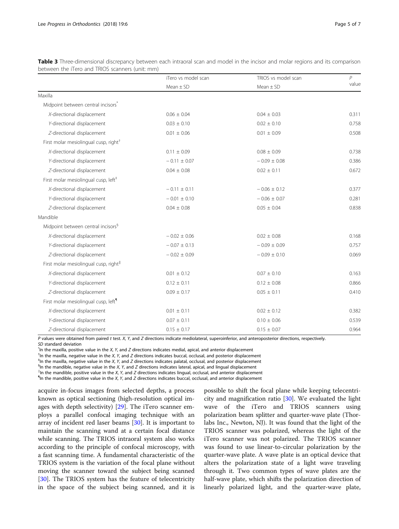|                                                    | iTero vs model scan<br>$Mean \pm SD$ | TRIOS vs model scan<br>$Mean \pm SD$ | $\overline{P}$<br>value |
|----------------------------------------------------|--------------------------------------|--------------------------------------|-------------------------|
|                                                    |                                      |                                      |                         |
| Maxilla                                            |                                      |                                      |                         |
| Midpoint between central incisors <sup>®</sup>     |                                      |                                      |                         |
| X-directional displacement                         | $0.06 \pm 0.04$                      | $0.04 \pm 0.03$                      | 0.311                   |
| Y-directional displacement                         | $0.03 \pm 0.10$                      | $0.02 \pm 0.10$                      | 0.758                   |
| Z-directional displacement                         | $0.01\,\pm\,0.06$                    | $0.01 \pm 0.09$                      | 0.508                   |
| First molar mesiolingual cusp, right <sup>+</sup>  |                                      |                                      |                         |
| X-directional displacement                         | $0.11 \pm 0.09$                      | $0.08\pm0.09$                        | 0.738                   |
| Y-directional displacement                         | $-0.11 \pm 0.07$                     | $-0.09 \pm 0.08$                     | 0.386                   |
| Z-directional displacement                         | $0.04 \pm 0.08$                      | $0.02 \pm 0.11$                      | 0.672                   |
| First molar mesiolingual cusp, left <sup>#</sup>   |                                      |                                      |                         |
| X-directional displacement                         | $-0.11 \pm 0.11$                     | $-0.06 \pm 0.12$                     | 0.377                   |
| Y-directional displacement                         | $-0.01 \pm 0.10$                     | $-0.06 \pm 0.07$                     | 0.281                   |
| Z-directional displacement                         | $0.04 \pm 0.08$                      | $0.05 \pm 0.04$                      | 0.838                   |
| Mandible                                           |                                      |                                      |                         |
| Midpoint between central incisors <sup>§</sup>     |                                      |                                      |                         |
| X-directional displacement                         | $-0.02 \pm 0.06$                     | $0.02\,\pm\,0.08$                    | 0.168                   |
| Y-directional displacement                         | $-0.07 \pm 0.13$                     | $-0.09 \pm 0.09$                     | 0.757                   |
| Z-directional displacement                         | $-0.02 \pm 0.09$                     | $-0.09 \pm 0.10$                     | 0.069                   |
| First molar mesiolingual cusp, right <sup>II</sup> |                                      |                                      |                         |
| X-directional displacement                         | $0.01 \pm 0.12$                      | $0.07 \pm 0.10$                      | 0.163                   |
| Y-directional displacement                         | $0.12 \pm 0.11$                      | $0.12 \pm 0.08$                      | 0.866                   |
| Z-directional displacement                         | $0.09 \pm 0.17$                      | $0.05 \pm 0.11$                      | 0.410                   |
| First molar mesiolingual cusp, left <sup>1</sup>   |                                      |                                      |                         |
| X-directional displacement                         | $0.01 \pm 0.11$                      | $0.02 \pm 0.12$                      | 0.382                   |
| Y-directional displacement                         | $0.07 \pm 0.11$                      | $0.10 \pm 0.06$                      | 0.539                   |
| Z-directional displacement                         | $0.15 \pm 0.17$                      | $0.15 \pm 0.07$                      | 0.964                   |

<span id="page-4-0"></span>Table 3 Three-dimensional discrepancy between each intraoral scan and model in the incisor and molar regions and its comparison between the iTero and TRIOS scanners (unit: mm)

P values were obtained from paired t test. X, Y, and Z directions indicate mediolateral, superoinferior, and anteroposterior directions, respectively.

SD standard deviation

In the maxilla, positive value in the X, Y, and Z directions indicates medial, apical, and anterior displacement

<sup>†</sup>In the maxilla, negative value in the X, Y, and Z directions indicates buccal, occlusal, and posterior displacement

 $*$ In the maxilla, negative value in the X, Y, and Z directions indicates palatal, occlusal, and posterior displacement  ${}^{\rm S}$ In the mandible, negative value in the X, Y, and Z directions indicates lateral, apical, and lingual displacement

 $\textsuperscript{II}$  in the mandible, positive value in the X, Y, and Z directions indicates lingual, occlusal, and anterior displacement

 $\textsf{I}$  in the mandible, positive value in the X, Y, and Z directions indicates buccal, occlusal, and anterior displacement

acquire in-focus images from selected depths, a process known as optical sectioning (high-resolution optical images with depth selectivity) [\[29](#page-6-0)]. The iTero scanner employs a parallel confocal imaging technique with an array of incident red laser beams [[30\]](#page-6-0). It is important to maintain the scanning wand at a certain focal distance while scanning. The TRIOS intraoral system also works according to the principle of confocal microscopy, with a fast scanning time. A fundamental characteristic of the TRIOS system is the variation of the focal plane without moving the scanner toward the subject being scanned [[30\]](#page-6-0). The TRIOS system has the feature of telecentricity in the space of the subject being scanned, and it is

possible to shift the focal plane while keeping telecentricity and magnification ratio [[30\]](#page-6-0). We evaluated the light wave of the iTero and TRIOS scanners using polarization beam splitter and quarter-wave plate (Thorlabs Inc., Newton, NJ). It was found that the light of the TRIOS scanner was polarized, whereas the light of the iTero scanner was not polarized. The TRIOS scanner was found to use linear-to-circular polarization by the quarter-wave plate. A wave plate is an optical device that alters the polarization state of a light wave traveling through it. Two common types of wave plates are the half-wave plate, which shifts the polarization direction of linearly polarized light, and the quarter-wave plate,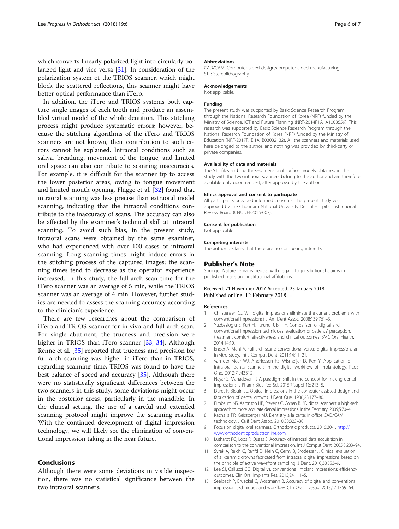<span id="page-5-0"></span>which converts linearly polarized light into circularly polarized light and vice versa [[31](#page-6-0)]. In consideration of the polarization system of the TRIOS scanner, which might block the scattered reflections, this scanner might have better optical performance than iTero.

In addition, the iTero and TRIOS systems both capture single images of each tooth and produce an assembled virtual model of the whole dentition. This stitching process might produce systematic errors; however, because the stitching algorithms of the iTero and TRIOS scanners are not known, their contribution to such errors cannot be explained. Intraoral conditions such as saliva, breathing, movement of the tongue, and limited oral space can also contribute to scanning inaccuracies. For example, it is difficult for the scanner tip to access the lower posterior areas, owing to tongue movement and limited mouth opening. Flügge et al. [\[32](#page-6-0)] found that intraoral scanning was less precise than extraoral model scanning, indicating that the intraoral conditions contribute to the inaccuracy of scans. The accuracy can also be affected by the examiner's technical skill at intraoral scanning. To avoid such bias, in the present study, intraoral scans were obtained by the same examiner, who had experienced with over 100 cases of intraoral scanning. Long scanning times might induce errors in the stitching process of the captured images; the scanning times tend to decrease as the operator experience increased. In this study, the full-arch scan time for the iTero scanner was an average of 5 min, while the TRIOS scanner was an average of 4 min. However, further studies are needed to assess the scanning accuracy according to the clinician's experience.

There are few researches about the comparison of iTero and TRIOS scanner for in vivo and full-arch scan. For single abutment, the trueness and precision were higher in TRIOS than iTero scanner [\[33](#page-6-0), [34\]](#page-6-0). Although Renne et al. [\[35\]](#page-6-0) reported that trueness and precision for full-arch scanning was higher in iTero than in TRIOS, regarding scanning time, TRIOS was found to have the best balance of speed and accuracy [\[35\]](#page-6-0). Although there were no statistically significant differences between the two scanners in this study, some deviations might occur in the posterior areas, particularly in the mandible. In the clinical setting, the use of a careful and extended scanning protocol might improve the scanning results. With the continued development of digital impression technology, we will likely see the elimination of conventional impression taking in the near future.

## Conclusions

Although there were some deviations in visible inspection, there was no statistical significance between the two intraoral scanners.

#### Abbreviations

CAD/CAM: Computer-aided design/computer-aided manufacturing; STL: Stereolithography

### Acknowledgements

Not applicable.

#### Funding

The present study was supported by Basic Science Research Program through the National Research Foundation of Korea (NRF) funded by the Ministry of Science, ICT and Future Planning (NRF-2014R1A1A1003559). This research was supported by Basic Science Research Program through the National Research Foundation of Korea (NRF) funded by the Ministry of Education (NRF-2017R1D1A1B03032132). All the scanners and materials used here belonged to the author, and nothing was provided by third-party or private companies.

## Availability of data and materials

The STL files and the three-dimensional surface models obtained in this study with the two intraoral scanners belong to the author and are therefore available only upon request, after approval by the author.

### Ethics approval and consent to participate

All participants provided informed consents. The present study was approved by the Chonnam National University Dental Hospital Institutional Review Board (CNUDH-2015-003).

#### Consent for publication

Not applicable.

#### Competing interests

The author declares that there are no competing interests.

#### Publisher's Note

Springer Nature remains neutral with regard to jurisdictional claims in published maps and institutional affiliations.

## Received: 21 November 2017 Accepted: 23 January 2018 Published online: 12 February 2018

#### References

- 1. Christensen GJ. Will digital impressions eliminate the current problems with conventional impressions? J Am Dent Assoc. 2008;139:761–3.
- 2. Yuzbasioglu E, Kurt H, Turunc R, Bilir H. Comparison of digital and conventional impression techniques: evaluation of patients' perception, treatment comfort, effectiveness and clinical outcomes. BMC Oral Health. 2014;14:10.
- 3. Ender A, Mehl A. Full arch scans: conventional versus digital impressions-an in-vitro study. Int J Comput Dent. 2011;14:11–21.
- 4. van der Meer WJ, Andriessen FS, Wismeijer D, Ren Y. Application of intra-oral dental scanners in the digital workflow of implantology. PLoS One. 2012;7:e43312.
- 5. Nayar S, Mahadevan R. A paradigm shift in the concept for making dental impressions. J Pharm Bioallied Sci. 2015;7(suppl 1):s213–5.
- Duret F, Blouin JL. Optical impressions in the computer-assisted design and fabrication of dental crowns. J Dent Que. 1986;23:177–80.
- 7. Birnbaum NS, Aaronson HB, Stevens C, Cohen B. 3D digital scanners: a high-tech approach to more accurate dental impressions. Inside Dentistry. 2009;5:70–4.
- 8. Kachalia PR, Geissberger MJ. Dentistry a la carte: in-office CAD/CAM technology. J Calif Dent Assoc. 2010;38:323–30.
- 9. Focus on digital oral scanners. Orthodontic products. 2016:30-1. [http://](http://www.orthodonticproductsonline.com) [www.orthodonticproductsonline.com.](http://www.orthodonticproductsonline.com)
- 10. Luthardt RG, Loos R, Quaas S. Accuracy of intraoral data acquisition in comparison to the conventional impression. Int J Comput Dent. 2005;8:283–94.
- 11. Syrek A, Reich G, Ranftl D, Klein C, Cerny B, Brodesser J. Clinical evaluation of all-ceramic crowns fabricated from intraoral digital impressions based on the principle of active wavefront sampling. J Dent. 2010;38:553–9.
- 12. Lee SJ, Gallucci GO. Digital vs. conventional implant impressions: efficiency outcomes. Clin Oral Implants Res. 2013;24:111–5.
- 13. Seelbach P, Brueckel C, Wöstmann B. Accuracy of digital and conventional impression techniques and workflow. Clin Oral Investig. 2013;17:1759–64.